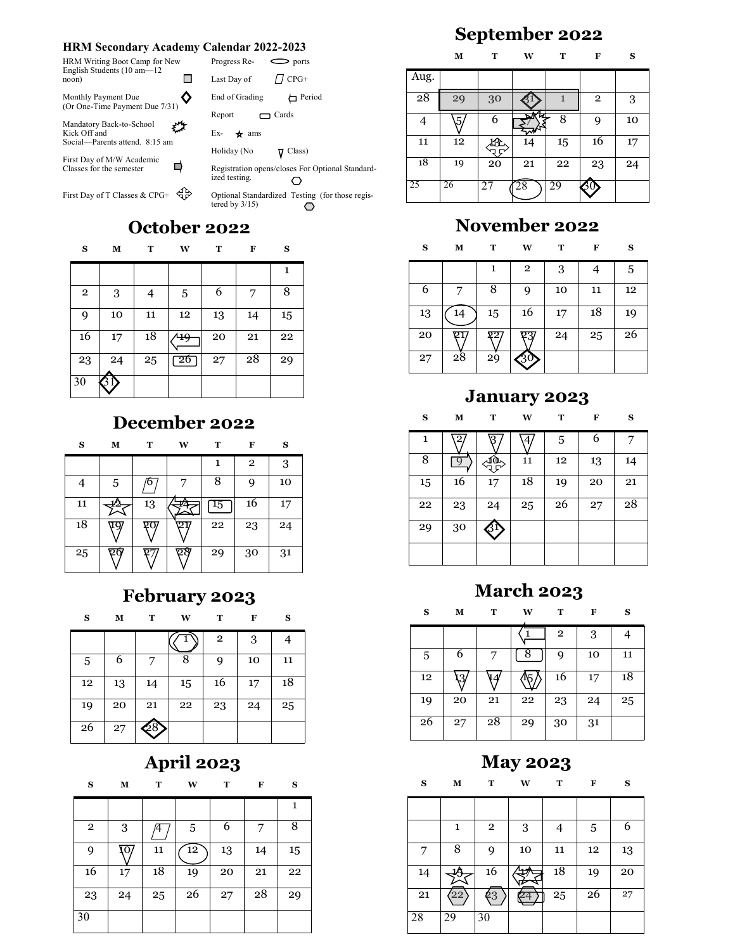#### **HRM Secondary Academy Calendar 2022-2023**

| HRM Writing Boot Camp for New<br>English Students $(10 am - 12)$           | Progress Re-<br>$>$ ports                                            |
|----------------------------------------------------------------------------|----------------------------------------------------------------------|
| noon)                                                                      | $/$ / CPG+<br>Last Day of                                            |
| Monthly Payment Due<br>(Or One-Time Payment Due 7/31)                      | End of Grading<br>Period                                             |
|                                                                            | Report<br>Cards                                                      |
| Mandatory Back-to-School<br>Kick Off and<br>Social—Parents attend. 8:15 am | Ex-<br>ams<br>÷                                                      |
|                                                                            | Holiday (No<br>Class)                                                |
| First Day of M/W Academic                                                  |                                                                      |
| Classes for the semester                                                   | Registration opens/closes For Optional Standard-<br>ized testing.    |
| First Day of T Classes & CPG+                                              | Optional Standardized Testing (for those regis-<br>tered by $3/15$ ) |

First Day of T Classes & CPG+ ىب tered by  $3/15$ )

# **October 2022**

| S              | М     | т  | W  | т  | F  | S  |
|----------------|-------|----|----|----|----|----|
|                |       |    |    |    |    | 1  |
| $\overline{2}$ | $\,3$ | 4  | 5  | 6  | 7  | 8  |
| 9              | 10    | 11 | 12 | 13 | 14 | 15 |
| 16             | 17    | 18 |    | 20 | 21 | 22 |
| 23             | 24    | 25 | 26 | 27 | 28 | 29 |
| 30             |       |    |    |    |    |    |

### **December 2022**

| S  | М  | T   | W | т  | F            | s  |
|----|----|-----|---|----|--------------|----|
|    |    |     |   | 1  | $\mathbf{2}$ | 3  |
|    | 5  |     |   | 8  | 9            | 10 |
| 11 |    | 13  |   | 15 | 16           | 17 |
| 18 | 19 | QΟ, |   | 22 | 23           | 24 |
| 25 | 20 |     |   | 29 | 30           | 31 |

## **February 2023**

| S          | м  | т  | W  | т              | F  | S  |
|------------|----|----|----|----------------|----|----|
|            |    |    |    | $\overline{2}$ | 3  |    |
| $\sqrt{5}$ | 6  |    | 8  | 9              | 10 | 11 |
| 12         | 13 | 14 | 15 | 16             | 17 | 18 |
| 19         | 20 | 21 | 22 | 23             | 24 | 25 |
| 26         | 27 |    |    |                |    |    |

# **April 2023**

**S M T W T F S**

| w | ı |
|---|---|
|   |   |

|              |     |    |            |    |    | 1  |
|--------------|-----|----|------------|----|----|----|
| $\mathbf{2}$ | 3   |    | $\sqrt{5}$ | 6  | 7  | 8  |
| 9            | 10, | 11 | 12         | 13 | 14 | 15 |
| 16           | 17  | 18 | 19         | 20 | 21 | 22 |
| 23           | 24  | 25 | 26         | 27 | 28 | 29 |
| 30           |     |    |            |    |    |    |

## **September 2022**

|                 | М  | т  | W  | т  | F            | S  |
|-----------------|----|----|----|----|--------------|----|
| Aug.            |    |    |    |    |              |    |
| $\overline{28}$ | 29 | 30 |    | 1  | $\mathbf{2}$ | 3  |
| 4               | 5  | 6  |    | 8  | 9            | 10 |
| 11              | 12 |    | 14 | 15 | 16           | 17 |
| 18              | 19 | 20 | 21 | 22 | 23           | 24 |
| 25              | 26 | 27 |    | 29 |              |    |

## **November 2022**

| S  | М  | т          | W              | т  | F  | S  |
|----|----|------------|----------------|----|----|----|
|    |    | 1          | $\overline{2}$ | 3  | 4  | 5  |
| 6  | 7  | 8          | 9              | 10 | 11 | 12 |
| 13 | 14 | 15         | 16             | 17 | 18 | 19 |
| 20 | 21 | 22         | 23             | 24 | 25 | 26 |
| 27 | 28 | $2\dot{9}$ |                |    |    |    |

### **January 2023**

#### **S M T W T F S**

| 1  | $\overline{2}$ | ß   | 4  | $\sqrt{5}$ | 6  | 7  |
|----|----------------|-----|----|------------|----|----|
| 8  | q              | մ0ւ | 11 | 12         | 13 | 14 |
| 15 | 16             | 17  | 18 | 19         | 20 | 21 |
| 22 | 23             | 24  | 25 | 26         | 27 | 28 |
| 29 | 30             | -31 |    |            |    |    |
|    |                |     |    |            |    |    |

## **March 2023**

### **S M T W T F S**

|    |    |    |    | $\overline{2}$ | 3  |    |
|----|----|----|----|----------------|----|----|
| 5  | 6  | 7  | 8  | 9              | 10 | 11 |
| 12 | З  |    |    | 16             | 17 | 18 |
| 19 | 20 | 21 | 22 | 23             | 24 | 25 |
| 26 | 27 | 28 | 29 | 30             | 31 |    |

### **May 2023**

### **S M T W T F S**

|                 | 1  | $\overline{2}$ | 3  |    | 5  | 6  |
|-----------------|----|----------------|----|----|----|----|
| 7               | 8  | 9              | 10 | 11 | 12 | 13 |
| 14              |    | 16             |    | 18 | 19 | 20 |
| 21              | 22 | 23             |    | 25 | 26 | 27 |
| $\overline{28}$ | 29 | 30             |    |    |    |    |